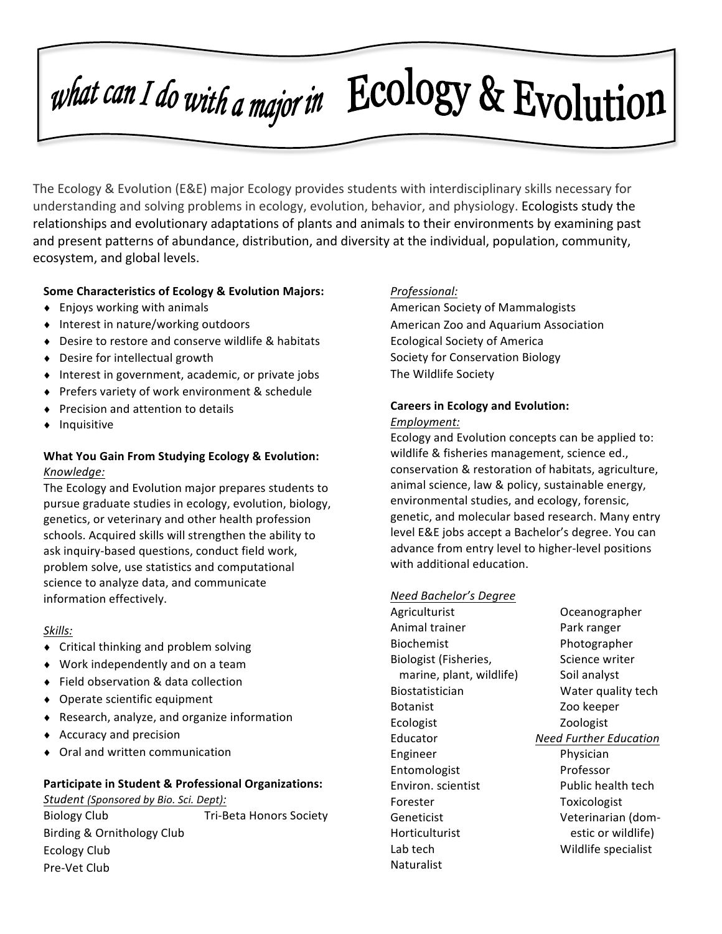# what can I do with a major in ECOlOgy & Evolution

The Ecology & Evolution (E&E) major Ecology provides students with interdisciplinary skills necessary for understanding and solving problems in ecology, evolution, behavior, and physiology. Ecologists study the relationships and evolutionary adaptations of plants and animals to their environments by examining past and present patterns of abundance, distribution, and diversity at the individual, population, community, ecosystem, and global levels.

## **Some Characteristics of Ecology & Evolution Majors:**

- $\bullet$  Enjoys working with animals
- Interest in nature/working outdoors
- ◆ Desire to restore and conserve wildlife & habitats
- $\bullet$  Desire for intellectual growth
- $\bullet$  Interest in government, academic, or private jobs
- ◆ Prefers variety of work environment & schedule
- Precision and attention to details
- **Inquisitive**

## **What You Gain From Studying Ecology & Evolution:** *Knowledge:*

The Ecology and Evolution major prepares students to pursue graduate studies in ecology, evolution, biology, genetics, or veterinary and other health profession schools. Acquired skills will strengthen the ability to ask inquiry-based questions, conduct field work, problem solve, use statistics and computational science to analyze data, and communicate information effectively.

#### *Skills:*

- Critical thinking and problem solving
- $\bullet$  Work independently and on a team
- ♦ Field observation & data collection
- Operate scientific equipment
- $\bullet$  Research, analyze, and organize information
- $\triangleleft$  Accuracy and precision
- Oral and written communication

#### **Participate in Student & Professional Organizations:**

Student (Sponsored by Bio. Sci. Dept): Biology Club **Tri-Beta Honors Society** Birding & Ornithology Club Ecology Club Pre-Vet Club

### *Professional:*

American Society of Mammalogists American Zoo and Aquarium Association Ecological Society of America Society for Conservation Biology The Wildlife Society

## **Careers in Ecology and Evolution:** *Employment:*

Ecology and Evolution concepts can be applied to: wildlife & fisheries management, science ed., conservation & restoration of habitats, agriculture, animal science, law & policy, sustainable energy, environmental studies, and ecology, forensic, genetic, and molecular based research. Many entry level E&E jobs accept a Bachelor's degree. You can advance from entry level to higher-level positions with additional education.

## **Need Bachelor's Degree**

Agriculturist Oceanographer Animal trainer **Park ranger** Biochemist Photographer Biologist (Fisheries, Science writer marine, plant, wildlife) Soil analyst Botanist Zoo keeper Ecologist Zoologist Engineer Physician Entomologist Professor Environ. scientist Public health tech Forester Toxicologist Horticulturist estic or wildlife) Lab tech Wildlife specialist Naturalist

Biostatistician Water quality tech Educator **Need Further Education** Geneticist **Veterinarian** (dom-